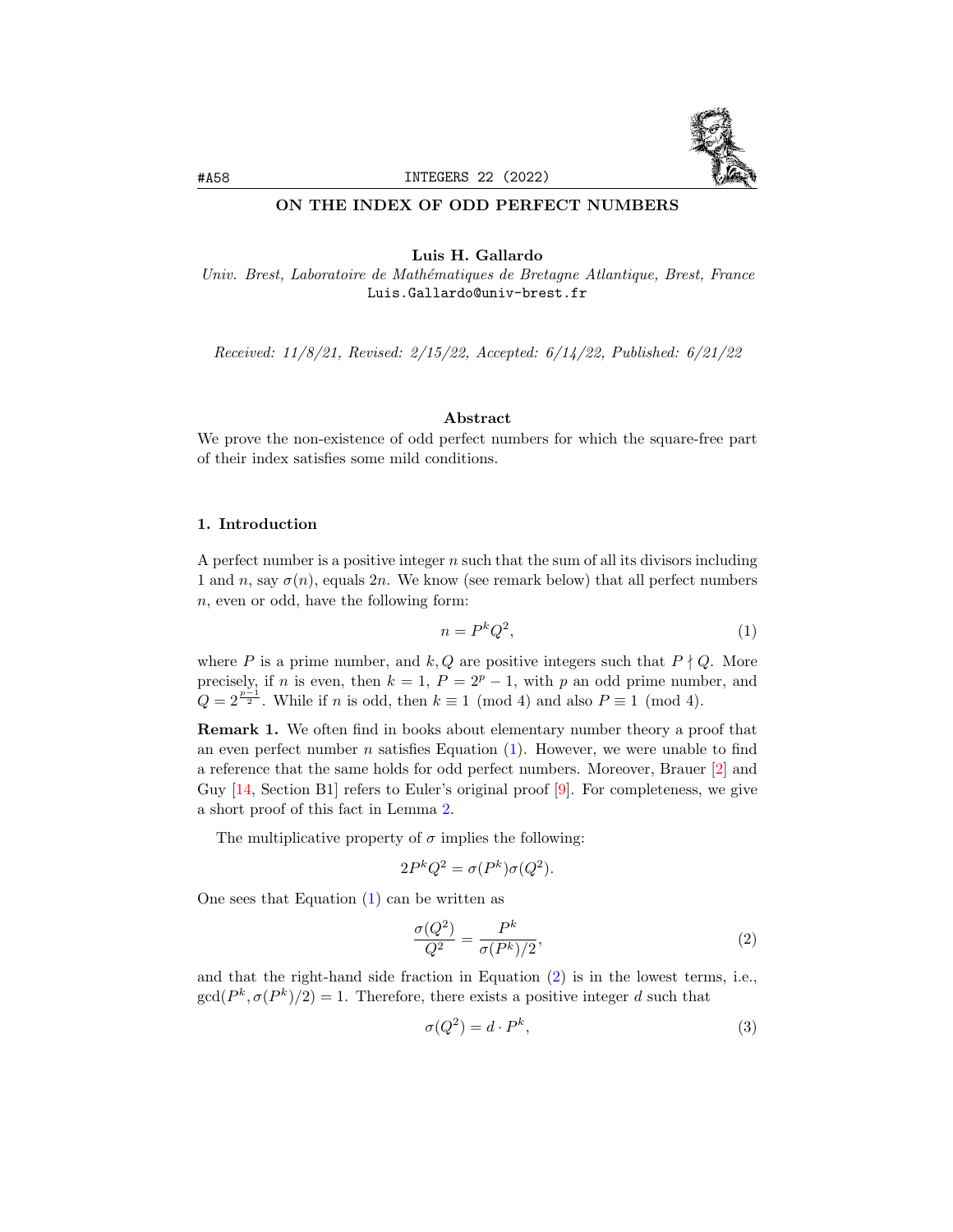

### ON THE INDEX OF ODD PERFECT NUMBERS

## Luis H. Gallardo

Univ. Brest, Laboratoire de Math´ematiques de Bretagne Atlantique, Brest, France Luis.Gallardo@univ-brest.fr

Received: 11/8/21, Revised: 2/15/22, Accepted: 6/14/22, Published: 6/21/22

### Abstract

We prove the non-existence of odd perfect numbers for which the square-free part of their index satisfies some mild conditions.

# 1. Introduction

A perfect number is a positive integer  $n$  such that the sum of all its divisors including 1 and n, say  $\sigma(n)$ , equals 2n. We know (see remark below) that all perfect numbers n, even or odd, have the following form:

<span id="page-0-0"></span>
$$
n = P^k Q^2,\tag{1}
$$

where P is a prime number, and k, Q are positive integers such that  $P \nmid Q$ . More precisely, if n is even, then  $k = 1$ ,  $P = 2^p - 1$ , with p an odd prime number, and  $Q = 2^{\frac{p-1}{2}}$ . While if *n* is odd, then  $k \equiv 1 \pmod{4}$  and also  $P \equiv 1 \pmod{4}$ .

<span id="page-0-1"></span>Remark 1. We often find in books about elementary number theory a proof that an even perfect number  $n$  satisfies Equation  $(1)$ . However, we were unable to find a reference that the same holds for odd perfect numbers. Moreover, Brauer [\[2\]](#page-10-0) and Guy [\[14,](#page-10-1) Section B1] refers to Euler's original proof [\[9\]](#page-10-2). For completeness, we give a short proof of this fact in Lemma [2.](#page-3-0)

The multiplicative property of  $\sigma$  implies the following:

$$
2P^{k}Q^{2} = \sigma(P^{k})\sigma(Q^{2}).
$$

One sees that Equation [\(1\)](#page-0-1) can be written as

<span id="page-0-2"></span>
$$
\frac{\sigma(Q^2)}{Q^2} = \frac{P^k}{\sigma(P^k)/2},\tag{2}
$$

and that the right-hand side fraction in Equation [\(2\)](#page-0-2) is in the lowest terms, i.e.,  $gcd(P^k, \sigma(P^k)/2) = 1$ . Therefore, there exists a positive integer d such that

<span id="page-0-3"></span>
$$
\sigma(Q^2) = d \cdot P^k,\tag{3}
$$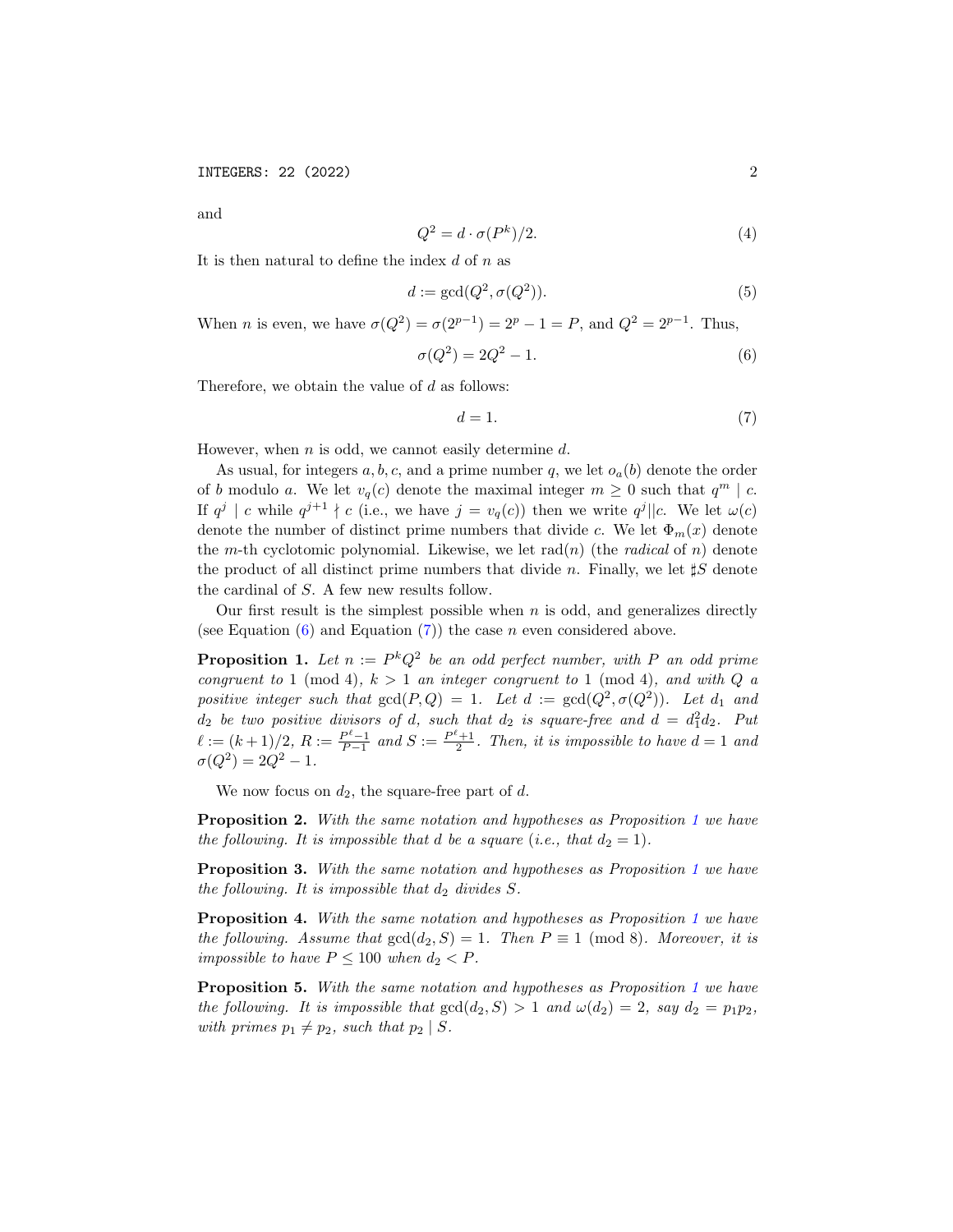and

<span id="page-1-8"></span>
$$
Q^2 = d \cdot \sigma(P^k)/2.
$$
 (4)

It is then natural to define the index  $d$  of  $n$  as

<span id="page-1-4"></span>
$$
d := \gcd(Q^2, \sigma(Q^2)).\tag{5}
$$

When *n* is even, we have  $\sigma(Q^2) = \sigma(2^{p-1}) = 2^p - 1 = P$ , and  $Q^2 = 2^{p-1}$ . Thus,

<span id="page-1-0"></span>
$$
\sigma(Q^2) = 2Q^2 - 1.\tag{6}
$$

Therefore, we obtain the value of  $d$  as follows:

<span id="page-1-1"></span>
$$
d = 1.\t\t(7)
$$

However, when  $n$  is odd, we cannot easily determine  $d$ .

As usual, for integers  $a, b, c$ , and a prime number q, we let  $o_a(b)$  denote the order of b modulo a. We let  $v_q(c)$  denote the maximal integer  $m \geq 0$  such that  $q^m \mid c$ . If  $q^j | c$  while  $q^{j+1} \nmid c$  (i.e., we have  $j = v_q(c)$ ) then we write  $q^j || c$ . We let  $\omega(c)$ denote the number of distinct prime numbers that divide c. We let  $\Phi_m(x)$  denote the m-th cyclotomic polynomial. Likewise, we let  $rad(n)$  (the *radical* of n) denote the product of all distinct prime numbers that divide n. Finally, we let  $\sharp S$  denote the cardinal of S. A few new results follow.

Our first result is the simplest possible when  $n$  is odd, and generalizes directly (see Equation  $(6)$  and Equation  $(7)$ ) the case n even considered above.

<span id="page-1-2"></span>**Proposition 1.** Let  $n := P^k Q^2$  be an odd perfect number, with P an odd prime congruent to 1 (mod 4),  $k > 1$  an integer congruent to 1 (mod 4), and with Q a positive integer such that  $gcd(P,Q) = 1$ . Let  $d := gcd(Q^2, \sigma(Q^2))$ . Let  $d_1$  and  $d_2$  be two positive divisors of d, such that  $d_2$  is square-free and  $d = d_1^2 d_2$ . Put  $\ell := (k+1)/2, R := \frac{P^{\ell}-1}{P-1}$  and  $S := \frac{P^{\ell}+1}{2}$ . Then, it is impossible to have  $d = 1$  and  $\sigma(Q^2) = 2Q^2 - 1.$ 

We now focus on  $d_2$ , the square-free part of d.

<span id="page-1-3"></span>Proposition 2. With the same notation and hypotheses as Proposition [1](#page-1-2) we have the following. It is impossible that d be a square (i.e., that  $d_2 = 1$ ).

<span id="page-1-5"></span>Proposition 3. With the same notation and hypotheses as Proposition [1](#page-1-2) we have the following. It is impossible that  $d_2$  divides  $S$ .

<span id="page-1-6"></span>Proposition 4. With the same notation and hypotheses as Proposition [1](#page-1-2) we have the following. Assume that  $gcd(d_2, S) = 1$ . Then  $P \equiv 1 \pmod{8}$ . Moreover, it is impossible to have  $P \leq 100$  when  $d_2 < P$ .

<span id="page-1-7"></span>**Proposition 5.** With the same notation and hypotheses as Proposition [1](#page-1-2) we have the following. It is impossible that  $gcd(d_2, S) > 1$  and  $\omega(d_2) = 2$ , say  $d_2 = p_1 p_2$ , with primes  $p_1 \neq p_2$ , such that  $p_2 | S$ .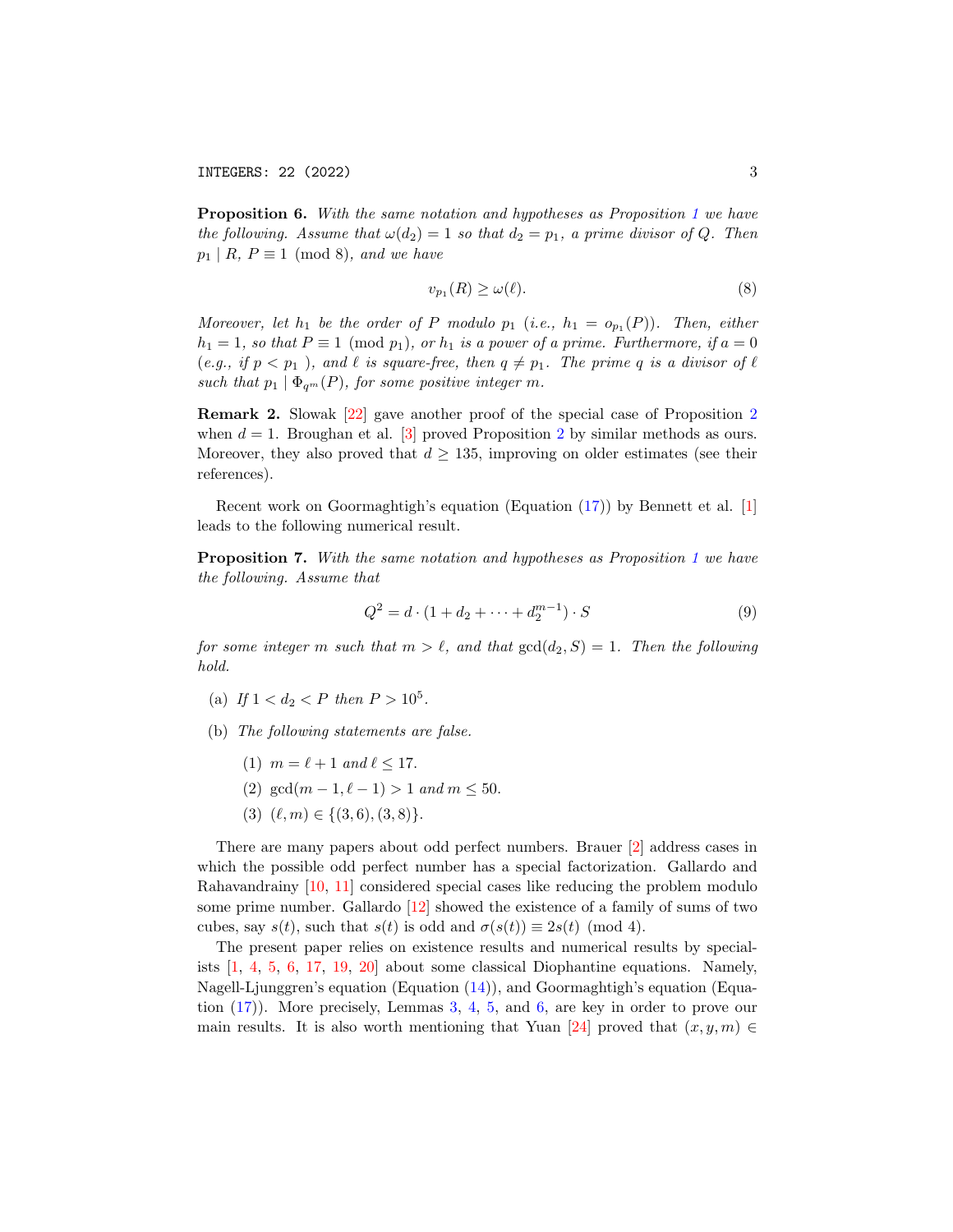<span id="page-2-1"></span>Proposition 6. With the same notation and hypotheses as Proposition [1](#page-1-2) we have the following. Assume that  $\omega(d_2) = 1$  so that  $d_2 = p_1$ , a prime divisor of Q. Then  $p_1 | R, P \equiv 1 \pmod{8}$ , and we have

<span id="page-2-2"></span>
$$
v_{p_1}(R) \ge \omega(\ell). \tag{8}
$$

Moreover, let  $h_1$  be the order of P modulo  $p_1$  (i.e.,  $h_1 = o_{p_1}(P)$ ). Then, either  $h_1 = 1$ , so that  $P \equiv 1 \pmod{p_1}$ , or  $h_1$  is a power of a prime. Furthermore, if  $a = 0$ (e.g., if  $p < p_1$ ), and  $\ell$  is square-free, then  $q \neq p_1$ . The prime q is a divisor of  $\ell$ such that  $p_1 | \Phi_{q^m}(P)$ , for some positive integer m.

<span id="page-2-0"></span>Remark 2. Slowak [\[22\]](#page-11-0) gave another proof of the special case of Proposition [2](#page-1-3) when  $d = 1$ . Broughan et al. [\[3\]](#page-10-3) proved Proposition [2](#page-1-3) by similar methods as ours. Moreover, they also proved that  $d \geq 135$ , improving on older estimates (see their references).

Recent work on Goormaghtigh's equation (Equation [\(17\)](#page-5-0)) by Bennett et al. [\[1\]](#page-10-4) leads to the following numerical result.

<span id="page-2-3"></span>Proposition 7. With the same notation and hypotheses as Proposition [1](#page-1-2) we have the following. Assume that

<span id="page-2-4"></span>
$$
Q^2 = d \cdot (1 + d_2 + \dots + d_2^{m-1}) \cdot S \tag{9}
$$

for some integer m such that  $m > \ell$ , and that  $gcd(d_2, S) = 1$ . Then the following hold.

- (a) If  $1 < d_2 < P$  then  $P > 10^5$ .
- (b) The following statements are false.
	- (1)  $m = \ell + 1$  and  $\ell \le 17$ .
	- (2) gcd( $m 1, \ell 1$ ) > 1 and  $m \le 50$ .
	- (3)  $(\ell, m) \in \{(3, 6), (3, 8)\}.$

There are many papers about odd perfect numbers. Brauer [\[2\]](#page-10-0) address cases in which the possible odd perfect number has a special factorization. Gallardo and Rahavandrainy [\[10,](#page-10-5) [11\]](#page-10-6) considered special cases like reducing the problem modulo some prime number. Gallardo [\[12\]](#page-10-7) showed the existence of a family of sums of two cubes, say  $s(t)$ , such that  $s(t)$  is odd and  $\sigma(s(t)) \equiv 2s(t) \pmod{4}$ .

The present paper relies on existence results and numerical results by specialists [\[1,](#page-10-4) [4,](#page-10-8) [5,](#page-10-9) [6,](#page-10-10) [17,](#page-11-1) [19,](#page-11-2) [20\]](#page-11-3) about some classical Diophantine equations. Namely, Nagell-Ljunggren's equation (Equation [\(14\)](#page-4-0)), and Goormaghtigh's equation (Equation [\(17\)](#page-5-0)). More precisely, Lemmas [3,](#page-4-1) [4,](#page-5-1) [5,](#page-5-2) and [6,](#page-5-3) are key in order to prove our main results. It is also worth mentioning that Yuan [\[24\]](#page-11-4) proved that  $(x, y, m) \in$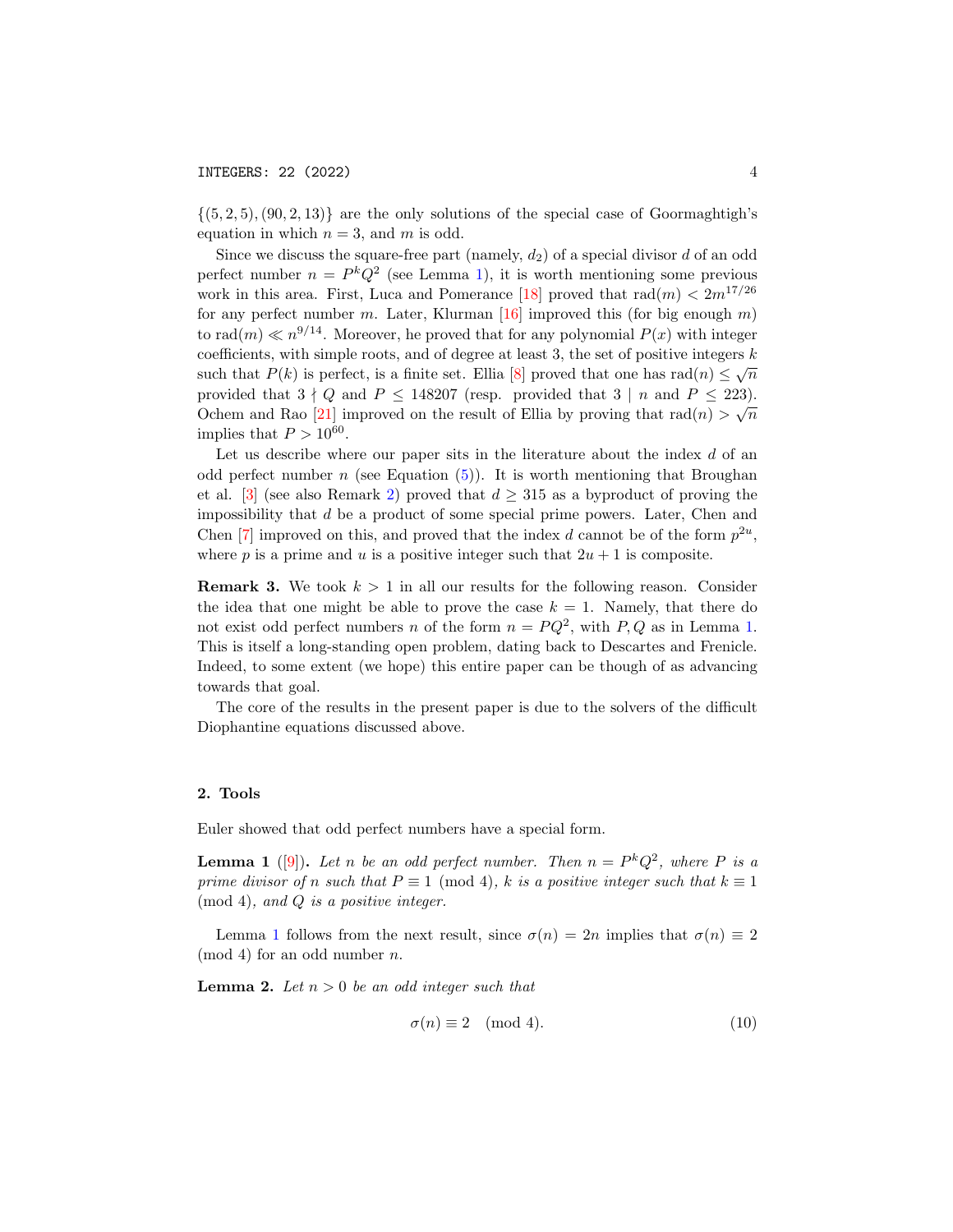$\{(5, 2, 5), (90, 2, 13)\}\$ are the only solutions of the special case of Goormaghtigh's equation in which  $n = 3$ , and m is odd.

Since we discuss the square-free part (namely,  $d_2$ ) of a special divisor d of an odd perfect number  $n = P^k Q^2$  (see Lemma [1\)](#page-3-1), it is worth mentioning some previous work in this area. First, Luca and Pomerance [\[18\]](#page-11-5) proved that  $rad(m) < 2m^{17/26}$ for any perfect number m. Later, Klurman [\[16\]](#page-11-6) improved this (for big enough  $m$ ) to rad $(m) \ll n^{9/14}$ . Moreover, he proved that for any polynomial  $P(x)$  with integer coefficients, with simple roots, and of degree at least 3, the set of positive integers  $k$ such that  $P(k)$  is perfect, is a finite set. Ellia [\[8\]](#page-10-11) proved that one has rad(n)  $\leq \sqrt{n}$ provided that  $3 \nmid Q$  and  $P \le 148207$  (resp. provided that  $3 \nmid n$  and  $P \le 223$ ). Ochem and Rao [\[21\]](#page-11-7) improved on the result of Ellia by proving that  $rad(n) > \sqrt{n}$ implies that  $P > 10^{60}$ .

Let us describe where our paper sits in the literature about the index  $d$  of an odd perfect number n (see Equation  $(5)$ ). It is worth mentioning that Broughan et al. [\[3\]](#page-10-3) (see also Remark [2\)](#page-2-0) proved that  $d \geq 315$  as a byproduct of proving the impossibility that d be a product of some special prime powers. Later, Chen and Chen [\[7\]](#page-10-12) improved on this, and proved that the index d cannot be of the form  $p^{2u}$ , where p is a prime and u is a positive integer such that  $2u + 1$  is composite.

**Remark 3.** We took  $k > 1$  in all our results for the following reason. Consider the idea that one might be able to prove the case  $k = 1$ . Namely, that there do not exist odd perfect numbers n of the form  $n = PQ^2$ , with  $P, Q$  as in Lemma [1.](#page-3-1) This is itself a long-standing open problem, dating back to Descartes and Frenicle. Indeed, to some extent (we hope) this entire paper can be though of as advancing towards that goal.

The core of the results in the present paper is due to the solvers of the difficult Diophantine equations discussed above.

#### 2. Tools

Euler showed that odd perfect numbers have a special form.

<span id="page-3-1"></span>**Lemma 1** ([\[9\]](#page-10-2)). Let n be an odd perfect number. Then  $n = P^k Q^2$ , where P is a prime divisor of n such that  $P \equiv 1 \pmod{4}$ , k is a positive integer such that  $k \equiv 1$ (mod 4), and Q is a positive integer.

Lemma [1](#page-3-1) follows from the next result, since  $\sigma(n) = 2n$  implies that  $\sigma(n) \equiv 2$  $\pmod{4}$  for an odd number *n*.

<span id="page-3-0"></span>**Lemma 2.** Let  $n > 0$  be an odd integer such that

<span id="page-3-2"></span>
$$
\sigma(n) \equiv 2 \pmod{4}.\tag{10}
$$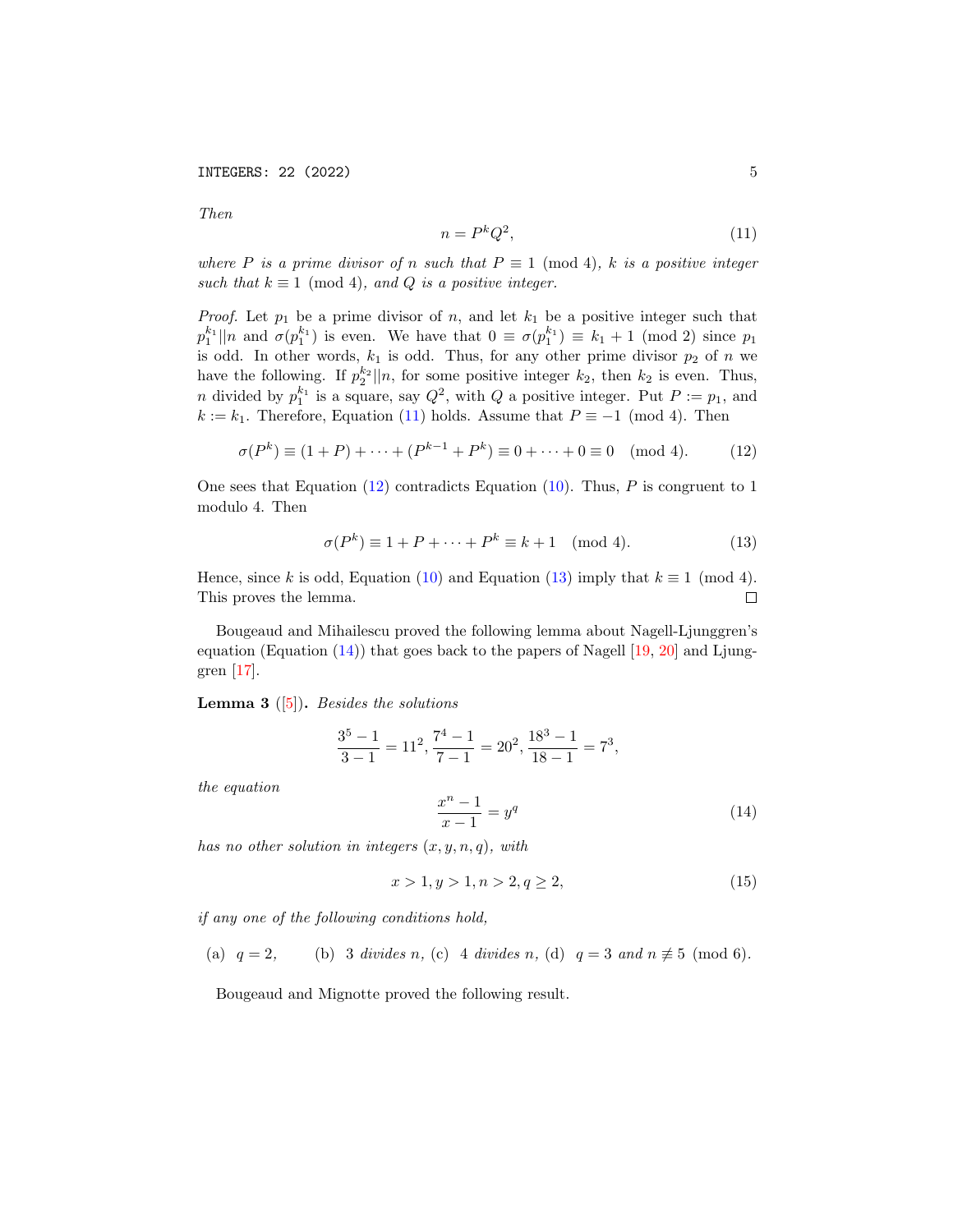Then

<span id="page-4-2"></span>
$$
n = P^k Q^2,\tag{11}
$$

where P is a prime divisor of n such that  $P \equiv 1 \pmod{4}$ , k is a positive integer such that  $k \equiv 1 \pmod{4}$ , and Q is a positive integer.

*Proof.* Let  $p_1$  be a prime divisor of n, and let  $k_1$  be a positive integer such that  $p_1^{k_1}$ ||n and  $\sigma(p_1^{k_1})$  is even. We have that  $0 \equiv \sigma(p_1^{k_1}) \equiv k_1 + 1 \pmod{2}$  since  $p_1$ is odd. In other words,  $k_1$  is odd. Thus, for any other prime divisor  $p_2$  of n we have the following. If  $p_2^{k_2}||n$ , for some positive integer  $k_2$ , then  $k_2$  is even. Thus, n divided by  $p_1^{k_1}$  is a square, say  $Q^2$ , with  $Q$  a positive integer. Put  $P := p_1$ , and  $k := k_1$ . Therefore, Equation [\(11\)](#page-4-2) holds. Assume that  $P \equiv -1 \pmod{4}$ . Then

<span id="page-4-3"></span>
$$
\sigma(P^k) \equiv (1+P) + \dots + (P^{k-1} + P^k) \equiv 0 + \dots + 0 \equiv 0 \pmod{4}.
$$
 (12)

One sees that Equation  $(12)$  contradicts Equation  $(10)$ . Thus, P is congruent to 1 modulo 4. Then

<span id="page-4-4"></span>
$$
\sigma(P^k) \equiv 1 + P + \dots + P^k \equiv k + 1 \pmod{4}.
$$
 (13)

Hence, since k is odd, Equation [\(10\)](#page-3-2) and Equation [\(13\)](#page-4-4) imply that  $k \equiv 1 \pmod{4}$ .  $\Box$ This proves the lemma.

Bougeaud and Mihailescu proved the following lemma about Nagell-Ljunggren's equation (Equation  $(14)$ ) that goes back to the papers of Nagell [\[19,](#page-11-2) [20\]](#page-11-3) and Ljunggren [\[17\]](#page-11-1).

<span id="page-4-1"></span>**Lemma 3** ([\[5\]](#page-10-9)). *Besides the solutions* 

$$
\frac{3^5 - 1}{3 - 1} = 11^2, \frac{7^4 - 1}{7 - 1} = 20^2, \frac{18^3 - 1}{18 - 1} = 7^3,
$$

the equation

<span id="page-4-0"></span>
$$
\frac{x^n - 1}{x - 1} = y^q \tag{14}
$$

has no other solution in integers  $(x, y, n, q)$ , with

<span id="page-4-5"></span>
$$
x > 1, y > 1, n > 2, q \ge 2,
$$
\n<sup>(15)</sup>

if any one of the following conditions hold,

(a)  $q = 2$ , (b) 3 divides n, (c) 4 divides n, (d)  $q = 3$  and  $n \not\equiv 5 \pmod{6}$ .

Bougeaud and Mignotte proved the following result.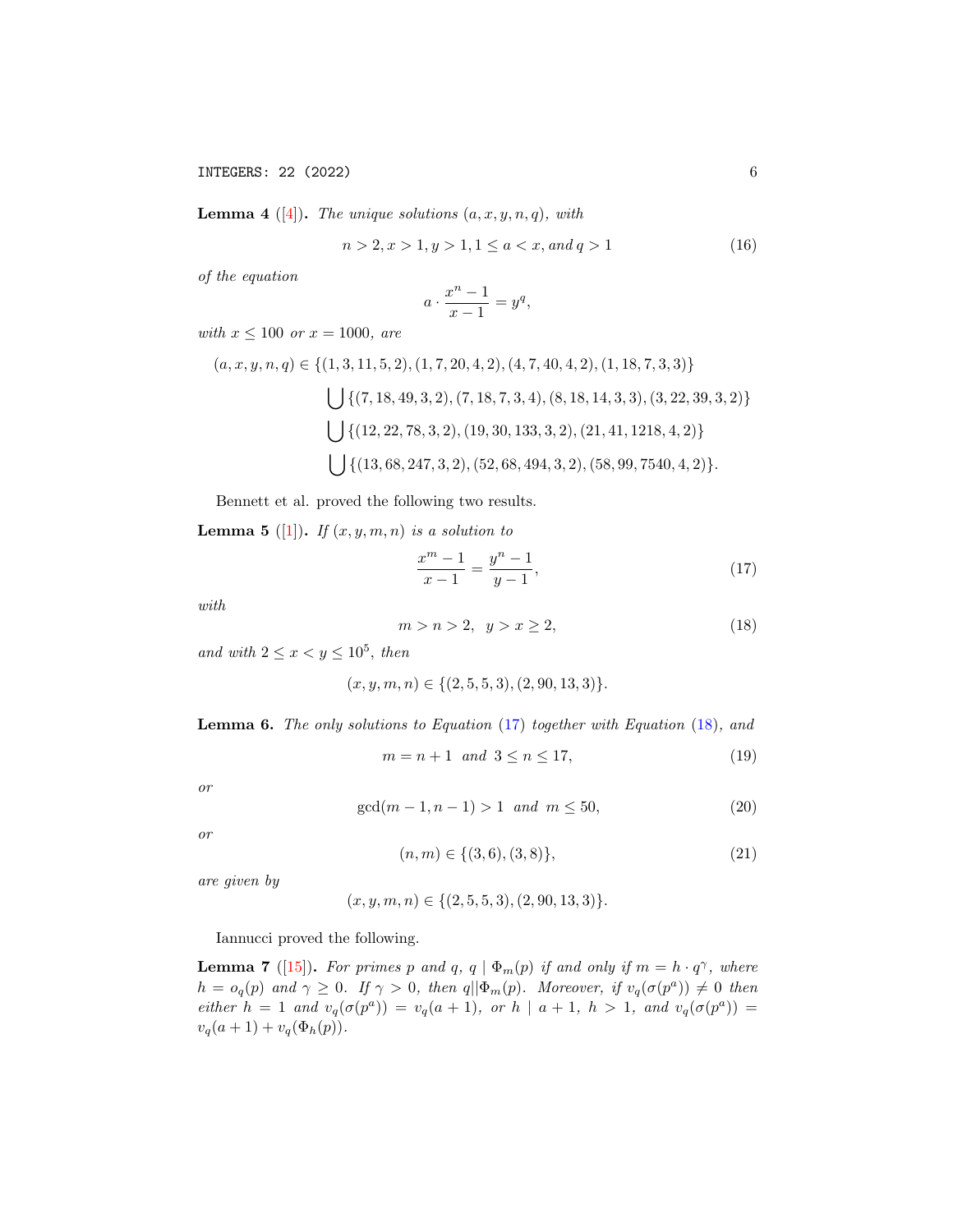INTEGERS: 22 (2022) 6

<span id="page-5-1"></span>**Lemma 4** ([\[4\]](#page-10-8)). The unique solutions  $(a, x, y, n, q)$ , with

<span id="page-5-5"></span>
$$
n > 2, x > 1, y > 1, 1 \le a < x, and q > 1
$$
\n<sup>(16)</sup>

of the equation

$$
a \cdot \frac{x^n - 1}{x - 1} = y^q,
$$

with  $x \le 100$  or  $x = 1000$ , are

$$
(a, x, y, n, q) \in \{(1, 3, 11, 5, 2), (1, 7, 20, 4, 2), (4, 7, 40, 4, 2), (1, 18, 7, 3, 3)\}
$$
  

$$
\bigcup \{(7, 18, 49, 3, 2), (7, 18, 7, 3, 4), (8, 18, 14, 3, 3), (3, 22, 39, 3, 2)\}
$$
  

$$
\bigcup \{(12, 22, 78, 3, 2), (19, 30, 133, 3, 2), (21, 41, 1218, 4, 2)\}
$$
  

$$
\bigcup \{(13, 68, 247, 3, 2), (52, 68, 494, 3, 2), (58, 99, 7540, 4, 2)\}.
$$

Bennett et al. proved the following two results.

<span id="page-5-2"></span>**Lemma 5** ([\[1\]](#page-10-4)). If  $(x, y, m, n)$  is a solution to

<span id="page-5-0"></span>
$$
\frac{x^m - 1}{x - 1} = \frac{y^n - 1}{y - 1},\tag{17}
$$

with

<span id="page-5-4"></span>
$$
m > n > 2, \quad y > x \ge 2,\tag{18}
$$

and with  $2 \leq x < y \leq 10^5$ , then

$$
(x, y, m, n) \in \{(2, 5, 5, 3), (2, 90, 13, 3)\}.
$$

<span id="page-5-3"></span>Lemma 6. The only solutions to Equation [\(17\)](#page-5-0) together with Equation [\(18\)](#page-5-4), and

<span id="page-5-7"></span>
$$
m = n + 1 \quad and \quad 3 \le n \le 17,\tag{19}
$$

or

<span id="page-5-8"></span>
$$
\gcd(m-1, n-1) > 1 \quad \text{and} \quad m \le 50,\tag{20}
$$

or

<span id="page-5-9"></span>
$$
(n,m) \in \{ (3,6), (3,8) \},\tag{21}
$$

are given by

 $(x, y, m, n) \in \{(2, 5, 5, 3), (2, 90, 13, 3)\}.$ 

Iannucci proved the following.

<span id="page-5-6"></span>**Lemma 7** ([\[15\]](#page-11-8)). For primes p and q, q  $\phi_m(p)$  if and only if  $m = h \cdot q^{\gamma}$ , where  $h = o_q(p)$  and  $\gamma \geq 0$ . If  $\gamma > 0$ , then  $q || \Phi_m(p)$ . Moreover, if  $v_q(\sigma(p^a)) \neq 0$  then either  $h = 1$  and  $v_q(\sigma(p^a)) = v_q(a+1)$ , or  $h | a+1, h > 1$ , and  $v_q(\sigma(p^a)) =$  $v_q(a + 1) + v_q(\Phi_h(p)).$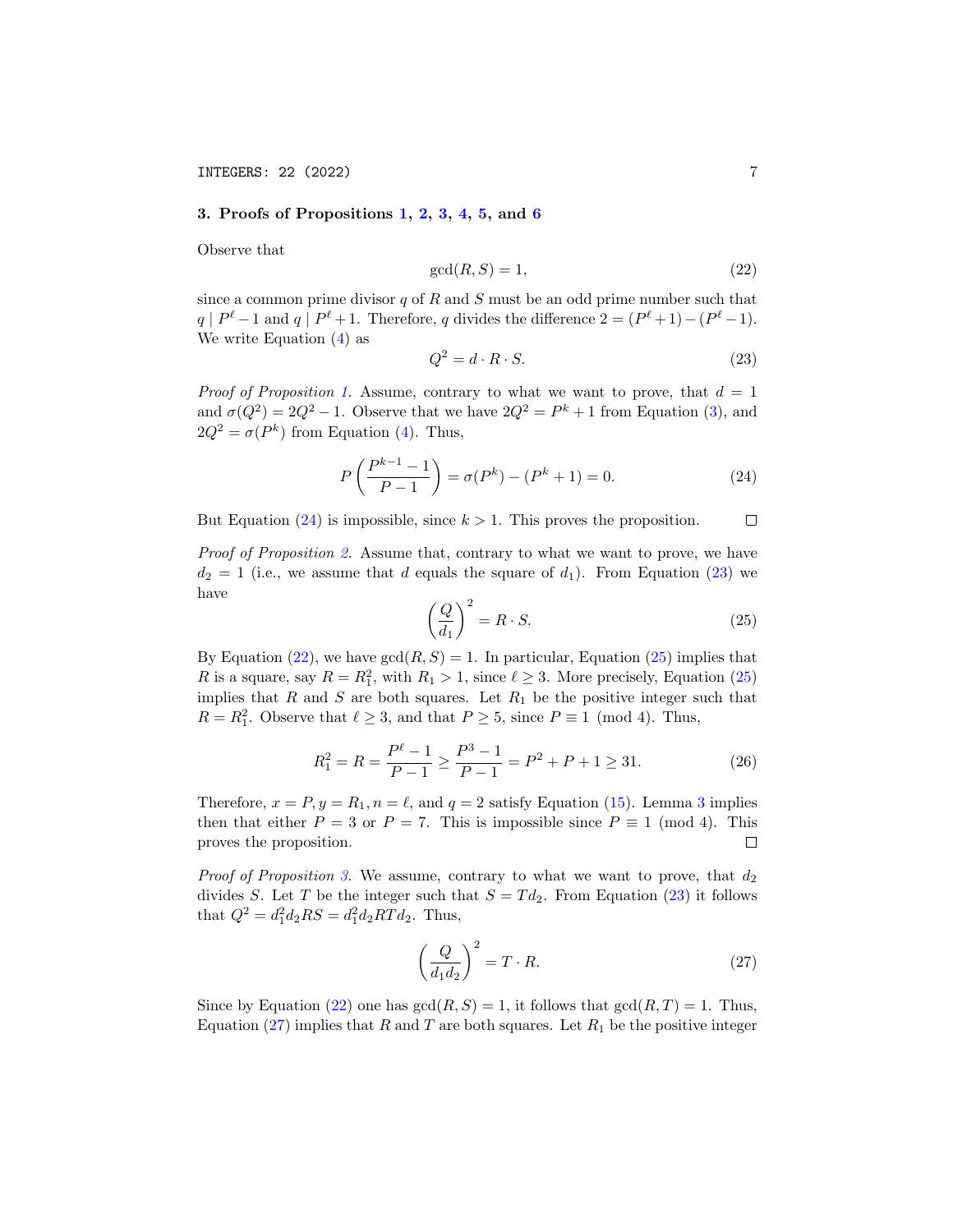# 3. Proofs of Propositions [1,](#page-1-2) [2,](#page-1-3) [3,](#page-1-5) [4,](#page-1-6) [5,](#page-1-7) and [6](#page-2-1)

Observe that

<span id="page-6-2"></span>
$$
\gcd(R, S) = 1,\tag{22}
$$

since a common prime divisor  $q$  of  $R$  and  $S$  must be an odd prime number such that  $q \mid P^{\ell}-1$  and  $q \mid P^{\ell}+1$ . Therefore, q divides the difference  $2 = (P^{\ell}+1)-(P^{\ell}-1)$ . We write Equation [\(4\)](#page-1-8) as

<span id="page-6-1"></span>
$$
Q^2 = d \cdot R \cdot S. \tag{23}
$$

*Proof of Proposition [1.](#page-1-2)* Assume, contrary to what we want to prove, that  $d = 1$ and  $\sigma(Q^2) = 2Q^2 - 1$ . Observe that we have  $2Q^2 = P^k + 1$  from Equation [\(3\)](#page-0-3), and  $2Q^2 = \sigma(P^k)$  from Equation [\(4\)](#page-1-8). Thus,

<span id="page-6-0"></span>
$$
P\left(\frac{P^{k-1}-1}{P-1}\right) = \sigma(P^k) - (P^k+1) = 0.
$$
 (24)

But Equation  $(24)$  is impossible, since  $k > 1$ . This proves the proposition.  $\Box$ 

Proof of Proposition [2.](#page-1-3) Assume that, contrary to what we want to prove, we have  $d_2 = 1$  (i.e., we assume that d equals the square of  $d_1$ ). From Equation [\(23\)](#page-6-1) we have

<span id="page-6-3"></span>
$$
\left(\frac{Q}{d_1}\right)^2 = R \cdot S. \tag{25}
$$

By Equation [\(22\)](#page-6-2), we have  $gcd(R, S) = 1$ . In particular, Equation [\(25\)](#page-6-3) implies that R is a square, say  $R = R_1^2$ , with  $R_1 > 1$ , since  $\ell \geq 3$ . More precisely, Equation [\(25\)](#page-6-3) implies that  $R$  and  $S$  are both squares. Let  $R_1$  be the positive integer such that  $R = R_1^2$ . Observe that  $\ell \geq 3$ , and that  $P \geq 5$ , since  $P \equiv 1 \pmod{4}$ . Thus,

<span id="page-6-5"></span>
$$
R_1^2 = R = \frac{P^{\ell} - 1}{P - 1} \ge \frac{P^3 - 1}{P - 1} = P^2 + P + 1 \ge 31.
$$
 (26)

Therefore,  $x = P, y = R_1, n = \ell$ , and  $q = 2$  satisfy Equation [\(15\)](#page-4-5). Lemma [3](#page-4-1) implies then that either  $P = 3$  or  $P = 7$ . This is impossible since  $P \equiv 1 \pmod{4}$ . This proves the proposition.  $\Box$ 

*Proof of Proposition [3.](#page-1-5)* We assume, contrary to what we want to prove, that  $d_2$ divides S. Let T be the integer such that  $S = T d_2$ . From Equation [\(23\)](#page-6-1) it follows that  $Q^2 = d_1^2 d_2 RS = d_1^2 d_2 RT d_2$ . Thus,

<span id="page-6-4"></span>
$$
\left(\frac{Q}{d_1 d_2}\right)^2 = T \cdot R. \tag{27}
$$

Since by Equation [\(22\)](#page-6-2) one has  $gcd(R, S) = 1$ , it follows that  $gcd(R, T) = 1$ . Thus, Equation [\(27\)](#page-6-4) implies that R and T are both squares. Let  $R_1$  be the positive integer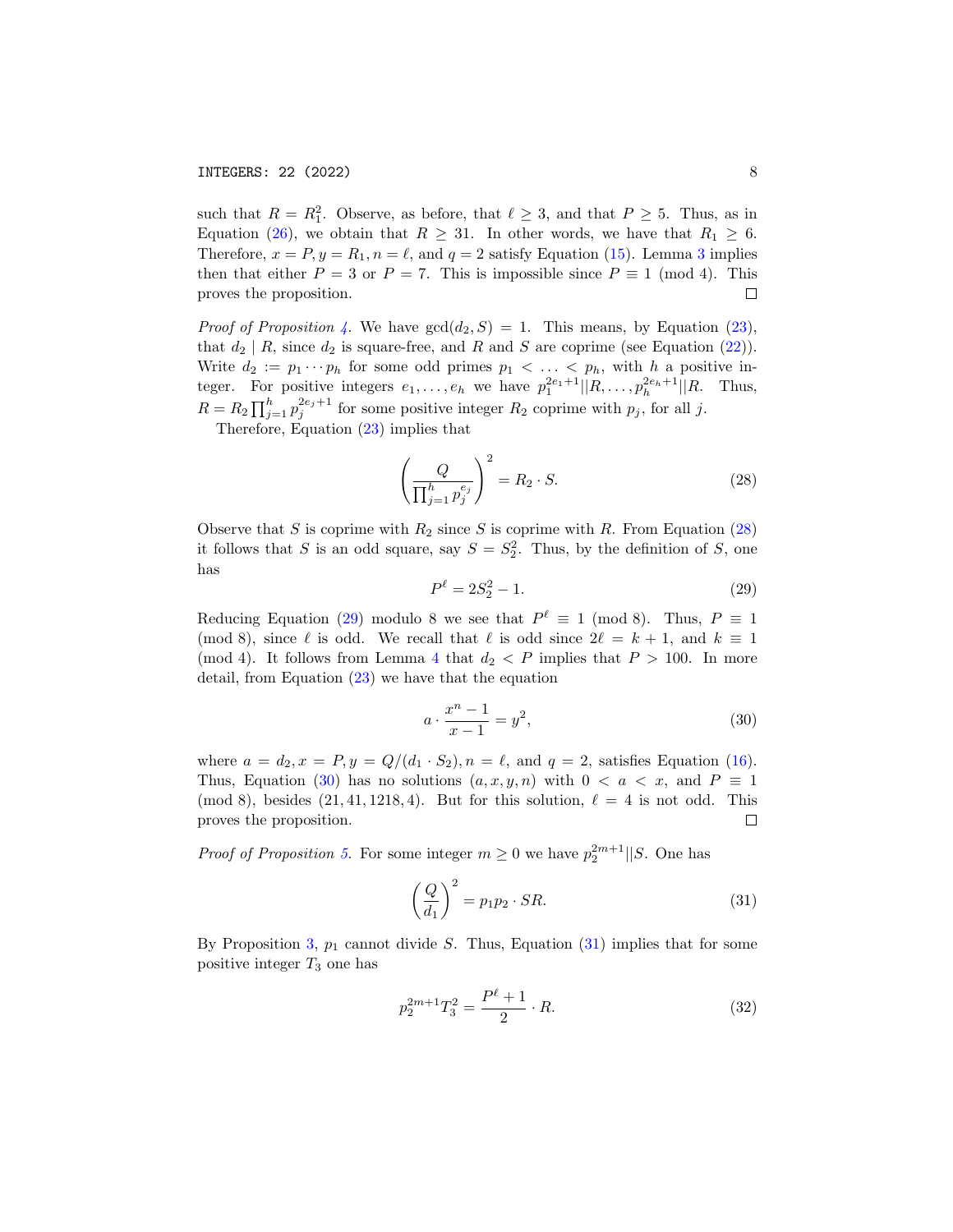such that  $R = R_1^2$ . Observe, as before, that  $\ell \geq 3$ , and that  $P \geq 5$ . Thus, as in Equation [\(26\)](#page-6-5), we obtain that  $R \geq 31$ . In other words, we have that  $R_1 \geq 6$ . Therefore,  $x = P, y = R_1, n = \ell$ , and  $q = 2$  satisfy Equation [\(15\)](#page-4-5). Lemma [3](#page-4-1) implies then that either  $P = 3$  or  $P = 7$ . This is impossible since  $P \equiv 1 \pmod{4}$ . This proves the proposition.  $\Box$ 

*Proof of Proposition [4.](#page-1-6)* We have  $gcd(d_2, S) = 1$ . This means, by Equation [\(23\)](#page-6-1), that  $d_2 | R$ , since  $d_2$  is square-free, and R and S are coprime (see Equation [\(22\)](#page-6-2)). Write  $d_2 := p_1 \cdots p_h$  for some odd primes  $p_1 < \ldots < p_h$ , with h a positive integer. For positive integers  $e_1, \ldots, e_h$  we have  $p_1^{2e_1+1} | |R, \ldots, p_h^{2e_h+1}| |R$ . Thus,  $R = R_2 \prod_{j=1}^{h} p_j^{2e_j+1}$  for some positive integer  $R_2$  coprime with  $p_j$ , for all j.

Therefore, Equation [\(23\)](#page-6-1) implies that

<span id="page-7-0"></span>
$$
\left(\frac{Q}{\prod_{j=1}^{h} p_j^{e_j}}\right)^2 = R_2 \cdot S. \tag{28}
$$

Observe that S is coprime with  $R_2$  since S is coprime with R. From Equation [\(28\)](#page-7-0) it follows that S is an odd square, say  $S = S_2^2$ . Thus, by the definition of S, one has

<span id="page-7-1"></span>
$$
P^{\ell} = 2S_2^2 - 1.\t\t(29)
$$

Reducing Equation [\(29\)](#page-7-1) modulo 8 we see that  $P^{\ell} \equiv 1 \pmod{8}$ . Thus,  $P \equiv 1$ (mod 8), since  $\ell$  is odd. We recall that  $\ell$  is odd since  $2\ell = k + 1$ , and  $k \equiv 1$ (mod [4](#page-5-1)). It follows from Lemma 4 that  $d_2 < P$  implies that  $P > 100$ . In more detail, from Equation [\(23\)](#page-6-1) we have that the equation

<span id="page-7-2"></span>
$$
a \cdot \frac{x^n - 1}{x - 1} = y^2,\tag{30}
$$

where  $a = d_2, x = P, y = Q/(d_1 \cdot S_2), n = \ell$ , and  $q = 2$ , satisfies Equation [\(16\)](#page-5-5). Thus, Equation [\(30\)](#page-7-2) has no solutions  $(a, x, y, n)$  with  $0 < a < x$ , and  $P \equiv 1$ (mod 8), besides  $(21, 41, 1218, 4)$ . But for this solution,  $\ell = 4$  is not odd. This proves the proposition.  $\Box$ 

*Proof of Proposition [5.](#page-1-7)* For some integer  $m \geq 0$  we have  $p_2^{2m+1}||S$ . One has

<span id="page-7-3"></span>
$$
\left(\frac{Q}{d_1}\right)^2 = p_1 p_2 \cdot SR. \tag{31}
$$

By Proposition [3,](#page-1-5)  $p_1$  cannot divide S. Thus, Equation [\(31\)](#page-7-3) implies that for some positive integer  $T_3$  one has

<span id="page-7-4"></span>
$$
p_2^{2m+1}T_3^2 = \frac{P^{\ell} + 1}{2} \cdot R. \tag{32}
$$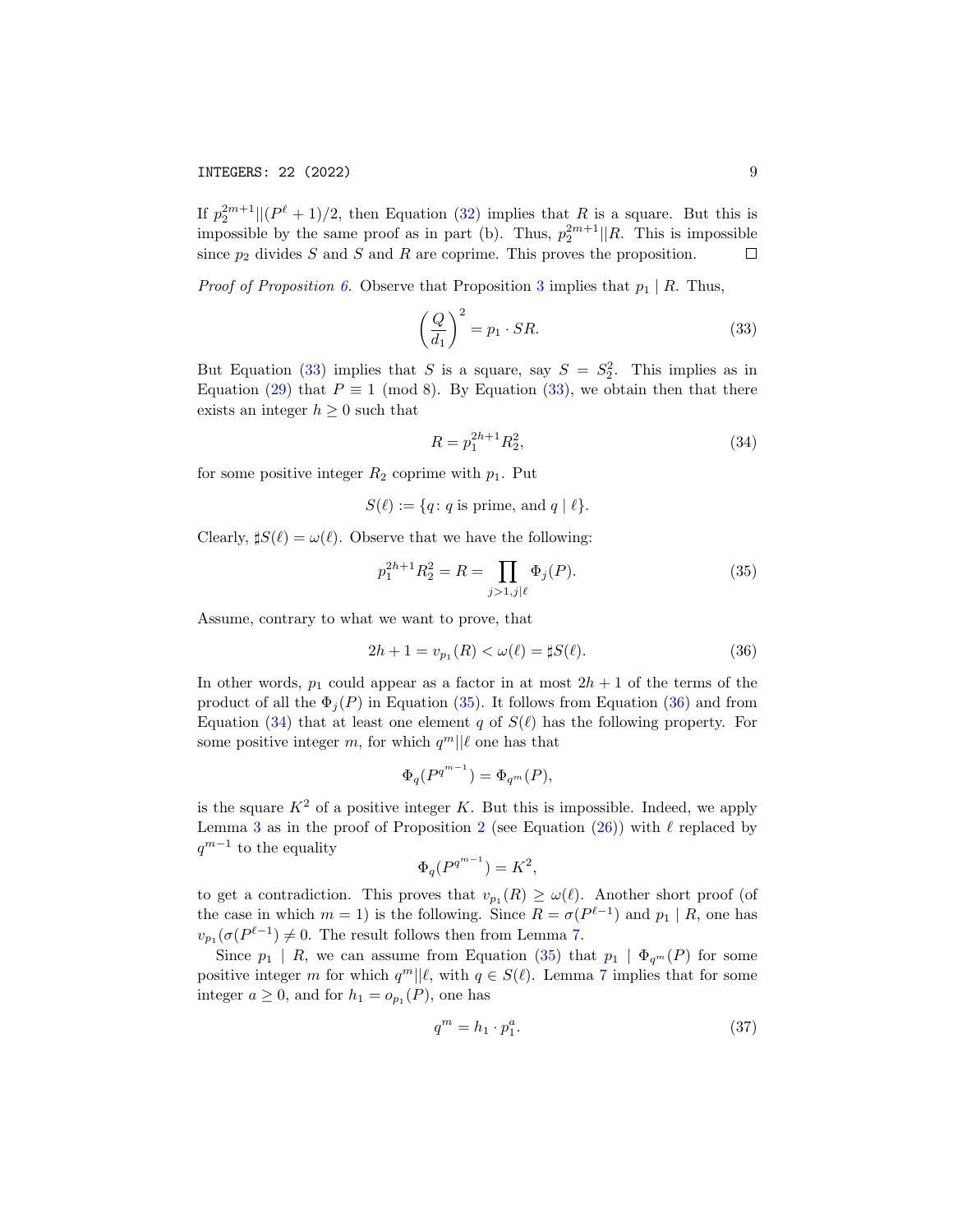If  $p_2^{2m+1} \mid (P^{\ell} + 1)/2$ , then Equation [\(32\)](#page-7-4) implies that R is a square. But this is impossible by the same proof as in part (b). Thus,  $p_2^{2m+1}$ ||R. This is impossible since  $p_2$  divides S and S and R are coprime. This proves the proposition.  $\Box$ 

*Proof of Proposition [6.](#page-2-1)* Observe that Proposition [3](#page-1-5) implies that  $p_1 | R$ . Thus,

<span id="page-8-0"></span>
$$
\left(\frac{Q}{d_1}\right)^2 = p_1 \cdot SR. \tag{33}
$$

But Equation [\(33\)](#page-8-0) implies that S is a square, say  $S = S_2^2$ . This implies as in Equation [\(29\)](#page-7-1) that  $P \equiv 1 \pmod{8}$ . By Equation [\(33\)](#page-8-0), we obtain then that there exists an integer  $h \geq 0$  such that

<span id="page-8-3"></span>
$$
R = p_1^{2h+1} R_2^2,\t\t(34)
$$

for some positive integer  $R_2$  coprime with  $p_1$ . Put

 $S(\ell) := \{q : q \text{ is prime, and } q \mid \ell\}.$ 

Clearly,  $\sharp S(\ell) = \omega(\ell)$ . Observe that we have the following:

<span id="page-8-1"></span>
$$
p_1^{2h+1} R_2^2 = R = \prod_{j>1,j|\ell} \Phi_j(P). \tag{35}
$$

Assume, contrary to what we want to prove, that

<span id="page-8-2"></span>
$$
2h + 1 = v_{p_1}(R) < \omega(\ell) = \sharp S(\ell). \tag{36}
$$

In other words,  $p_1$  could appear as a factor in at most  $2h + 1$  of the terms of the product of all the  $\Phi_i(P)$  in Equation [\(35\)](#page-8-1). It follows from Equation [\(36\)](#page-8-2) and from Equation [\(34\)](#page-8-3) that at least one element q of  $S(\ell)$  has the following property. For some positive integer m, for which  $q^m || \ell$  one has that

$$
\Phi_q(P^{q^{m-1}}) = \Phi_{q^m}(P),
$$

is the square  $K^2$  of a positive integer K. But this is impossible. Indeed, we apply Lemma [3](#page-4-1) as in the proof of Proposition [2](#page-1-3) (see Equation [\(26\)](#page-6-5)) with  $\ell$  replaced by  $q^{m-1}$  to the equality

$$
\Phi_q(P^{q^{m-1}}) = K^2,
$$

to get a contradiction. This proves that  $v_{p_1}(R) \ge \omega(\ell)$ . Another short proof (of the case in which  $m = 1$ ) is the following. Since  $R = \sigma(P^{\ell-1})$  and  $p_1 | R$ , one has  $v_{p_1}(\sigma(P^{\ell-1}) \neq 0$ . The result follows then from Lemma [7.](#page-5-6)

Since  $p_1 \mid R$ , we can assume from Equation [\(35\)](#page-8-1) that  $p_1 \mid \Phi_{q^m}(P)$  for some positive integer m for which  $q^m || \ell$ , with  $q \in S(\ell)$ . Lemma [7](#page-5-6) implies that for some integer  $a \geq 0$ , and for  $h_1 = o_{p_1}(P)$ , one has

<span id="page-8-4"></span>
$$
q^m = h_1 \cdot p_1^a. \tag{37}
$$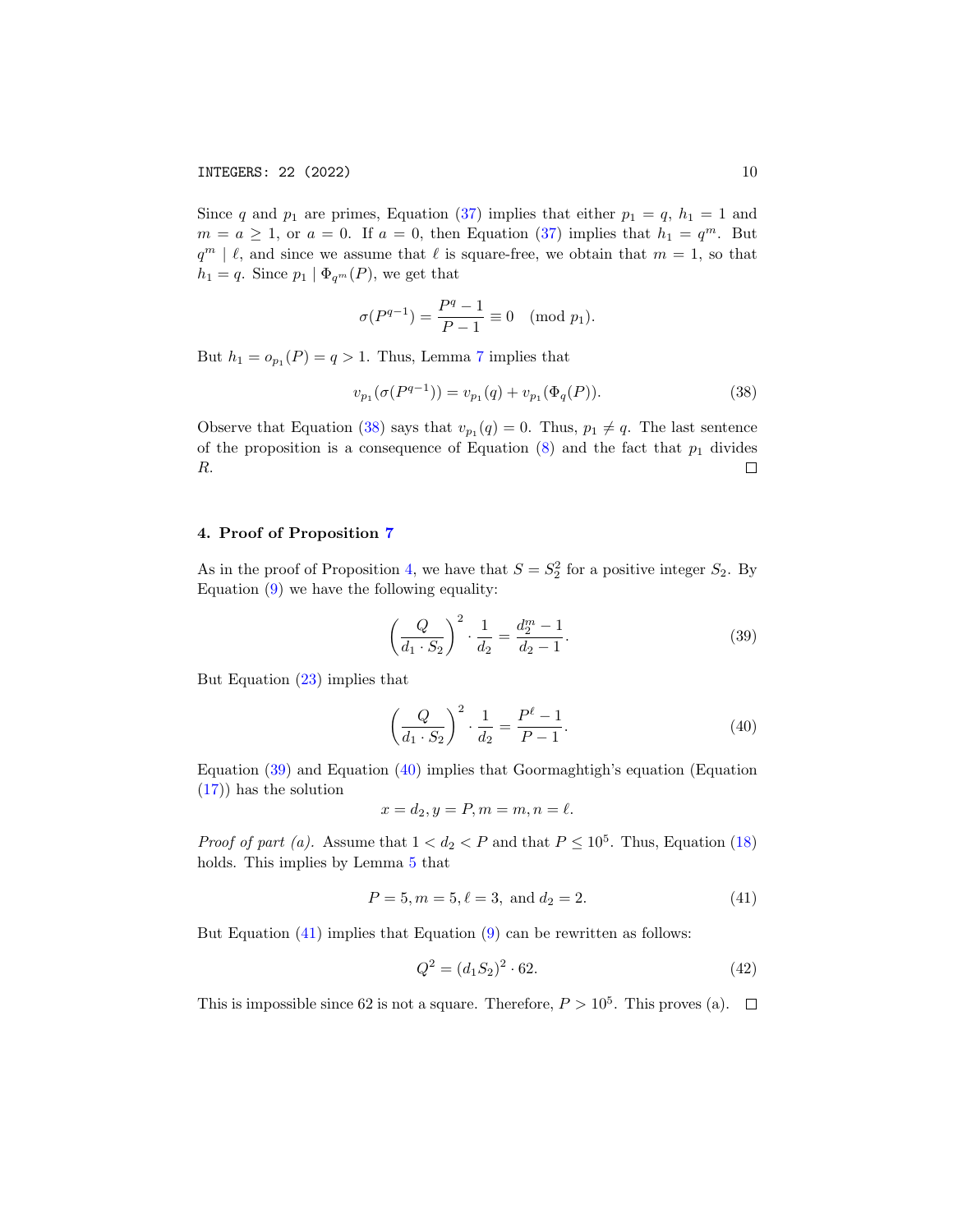Since q and  $p_1$  are primes, Equation [\(37\)](#page-8-4) implies that either  $p_1 = q$ ,  $h_1 = 1$  and  $m = a \ge 1$ , or  $a = 0$ . If  $a = 0$ , then Equation [\(37\)](#page-8-4) implies that  $h_1 = q^m$ . But  $q^m \mid \ell$ , and since we assume that  $\ell$  is square-free, we obtain that  $m = 1$ , so that  $h_1 = q$ . Since  $p_1 | \Phi_{q^m}(P)$ , we get that

$$
\sigma(P^{q-1}) = \frac{P^q - 1}{P - 1} \equiv 0 \pmod{p_1}.
$$

But  $h_1 = o_{p_1}(P) = q > 1$ . Thus, Lemma [7](#page-5-6) implies that

<span id="page-9-0"></span>
$$
v_{p_1}(\sigma(P^{q-1})) = v_{p_1}(q) + v_{p_1}(\Phi_q(P)).
$$
\n(38)

Observe that Equation [\(38\)](#page-9-0) says that  $v_{p_1}(q) = 0$ . Thus,  $p_1 \neq q$ . The last sentence of the proposition is a consequence of Equation  $(8)$  and the fact that  $p_1$  divides R.  $\Box$ 

## 4. Proof of Proposition [7](#page-2-3)

As in the proof of Proposition [4,](#page-1-6) we have that  $S = S_2^2$  for a positive integer  $S_2$ . By Equation [\(9\)](#page-2-4) we have the following equality:

<span id="page-9-1"></span>
$$
\left(\frac{Q}{d_1 \cdot S_2}\right)^2 \cdot \frac{1}{d_2} = \frac{d_2^m - 1}{d_2 - 1}.
$$
\n(39)

But Equation [\(23\)](#page-6-1) implies that

<span id="page-9-2"></span>
$$
\left(\frac{Q}{d_1 \cdot S_2}\right)^2 \cdot \frac{1}{d_2} = \frac{P^{\ell} - 1}{P - 1}.
$$
\n(40)

Equation [\(39\)](#page-9-1) and Equation [\(40\)](#page-9-2) implies that Goormaghtigh's equation (Equation [\(17\)](#page-5-0)) has the solution

$$
x = d_2, y = P, m = m, n = \ell.
$$

*Proof of part (a).* Assume that  $1 < d_2 < P$  and that  $P \leq 10^5$ . Thus, Equation [\(18\)](#page-5-4) holds. This implies by Lemma [5](#page-5-2) that

<span id="page-9-3"></span>
$$
P = 5, m = 5, \ell = 3, \text{ and } d_2 = 2.
$$
 (41)

But Equation  $(41)$  implies that Equation  $(9)$  can be rewritten as follows:

<span id="page-9-4"></span>
$$
Q^2 = (d_1 S_2)^2 \cdot 62. \tag{42}
$$

This is impossible since 62 is not a square. Therefore,  $P > 10^5$ . This proves (a).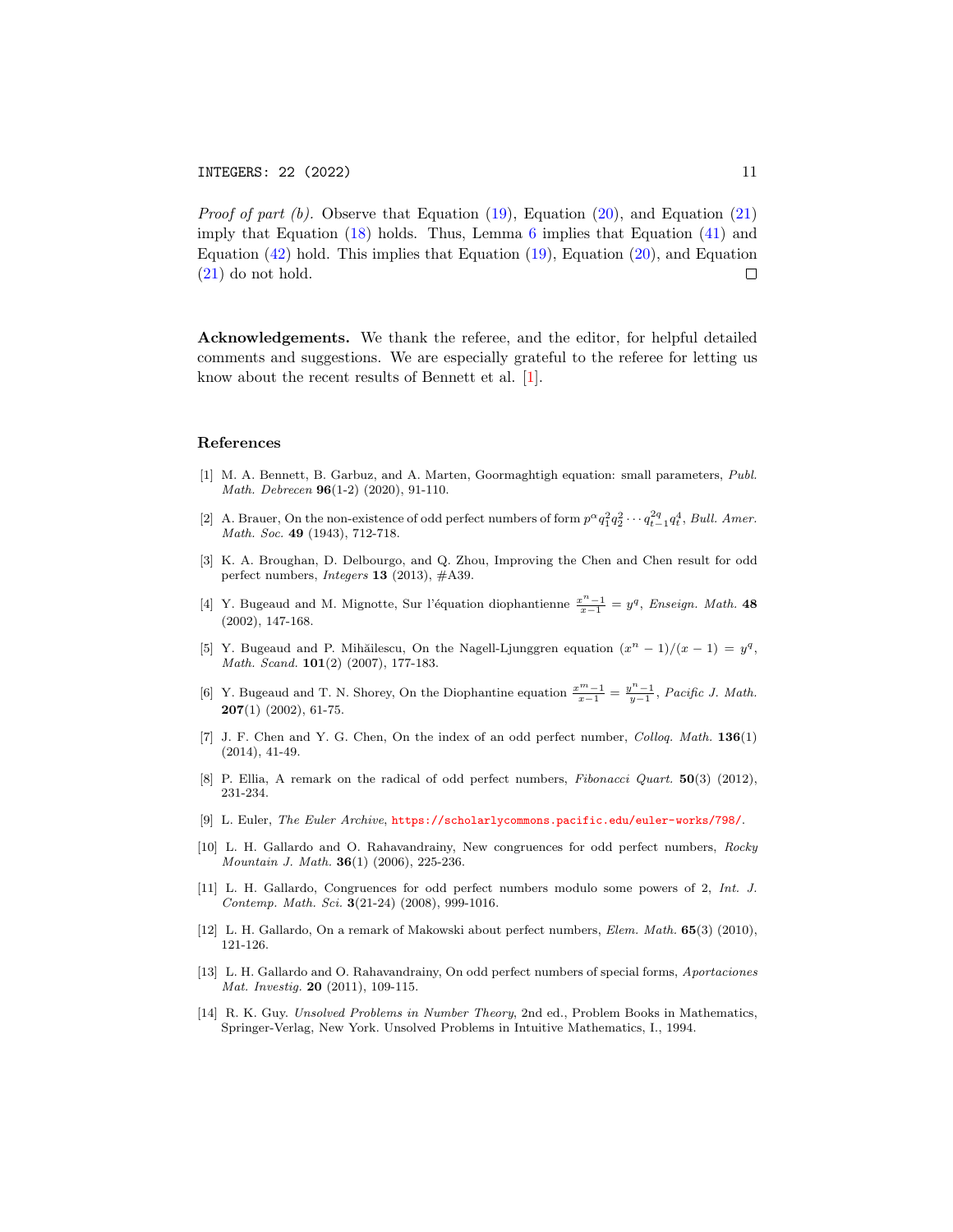*Proof of part (b).* Observe that Equation  $(19)$ , Equation  $(20)$ , and Equation  $(21)$ imply that Equation  $(18)$  holds. Thus, Lemma [6](#page-5-3) implies that Equation  $(41)$  and Equation  $(42)$  hold. This implies that Equation  $(19)$ , Equation  $(20)$ , and Equation [\(21\)](#page-5-9) do not hold.  $\Box$ 

Acknowledgements. We thank the referee, and the editor, for helpful detailed comments and suggestions. We are especially grateful to the referee for letting us know about the recent results of Bennett et al. [\[1\]](#page-10-4).

#### References

- <span id="page-10-4"></span>[1] M. A. Bennett, B. Garbuz, and A. Marten, Goormaghtigh equation: small parameters, Publ. Math. Debrecen 96(1-2) (2020), 91-110.
- <span id="page-10-0"></span>[2] A. Brauer, On the non-existence of odd perfect numbers of form  $p^{\alpha}q_1^2q_2^2\cdots q_{t-1}^2q_t^4$ , Bull. Amer. Math. Soc. 49 (1943), 712-718.
- <span id="page-10-3"></span>[3] K. A. Broughan, D. Delbourgo, and Q. Zhou, Improving the Chen and Chen result for odd perfect numbers, Integers 13 (2013), #A39.
- <span id="page-10-8"></span>[4] Y. Bugeaud and M. Mignotte, Sur l'équation diophantienne  $\frac{x^n-1}{x-1} = y^q$ , Enseign. Math. 48 (2002), 147-168.
- <span id="page-10-9"></span>[5] Y. Bugeaud and P. Mihăilescu, On the Nagell-Ljunggren equation  $(x^{n} - 1)/(x - 1) = y^{q}$ , Math. Scand. **101**(2) (2007), 177-183.
- <span id="page-10-10"></span>[6] Y. Bugeaud and T. N. Shorey, On the Diophantine equation  $\frac{x^m-1}{x-1} = \frac{y^n-1}{y-1}$ , Pacific J. Math.  $207(1)$  (2002), 61-75.
- <span id="page-10-12"></span>[7] J. F. Chen and Y. G. Chen, On the index of an odd perfect number, Colloq. Math. 136(1) (2014), 41-49.
- <span id="page-10-11"></span>[8] P. Ellia, A remark on the radical of odd perfect numbers, *Fibonacci Quart.* **50**(3) (2012), 231-234.
- <span id="page-10-2"></span>[9] L. Euler, The Euler Archive, <https://scholarlycommons.pacific.edu/euler-works/798/>.
- <span id="page-10-5"></span>[10] L. H. Gallardo and O. Rahavandrainy, New congruences for odd perfect numbers, Rocky Mountain J. Math. 36(1) (2006), 225-236.
- <span id="page-10-6"></span>[11] L. H. Gallardo, Congruences for odd perfect numbers modulo some powers of 2, Int. J. Contemp. Math. Sci. 3(21-24) (2008), 999-1016.
- <span id="page-10-7"></span>[12] L. H. Gallardo, On a remark of Makowski about perfect numbers, Elem. Math. 65(3) (2010), 121-126.
- [13] L. H. Gallardo and O. Rahavandrainy, On odd perfect numbers of special forms, Aportaciones Mat. Investig. 20 (2011), 109-115.
- <span id="page-10-1"></span>[14] R. K. Guy. Unsolved Problems in Number Theory, 2nd ed., Problem Books in Mathematics, Springer-Verlag, New York. Unsolved Problems in Intuitive Mathematics, I., 1994.